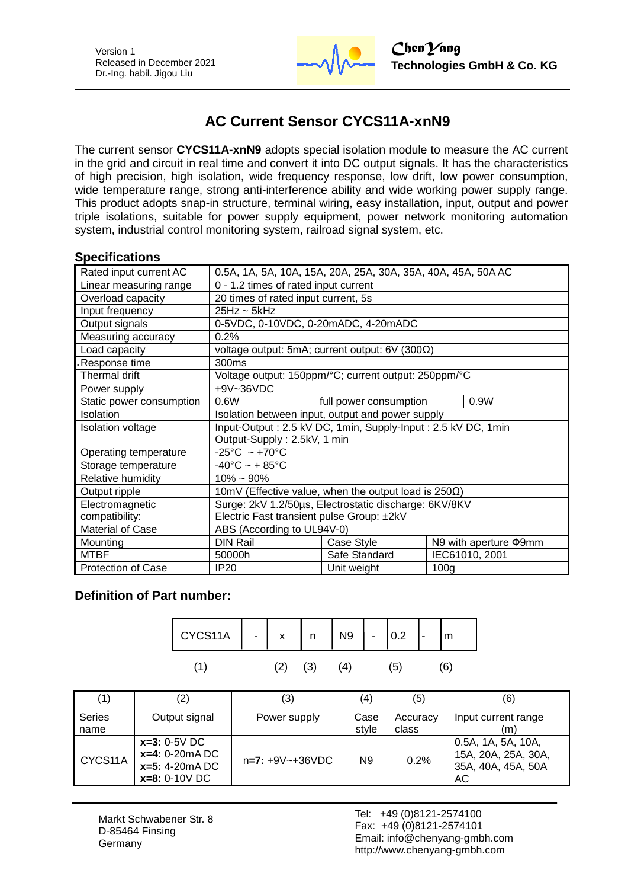

# **AC Current Sensor CYCS11A-xnN9**

The current sensor **CYCS11A-xnN9** adopts special isolation module to measure the AC current in the grid and circuit in real time and convert it into DC output signals. It has the characteristics of high precision, high isolation, wide frequency response, low drift, low power consumption, wide temperature range, strong anti-interference ability and wide working power supply range. This product adopts snap-in structure, terminal wiring, easy installation, input, output and power triple isolations, suitable for power supply equipment, power network monitoring automation system, industrial control monitoring system, railroad signal system, etc.

#### **Specifications**

| Rated input current AC    | 0.5A, 1A, 5A, 10A, 15A, 20A, 25A, 30A, 35A, 40A, 45A, 50A AC |                                |                  |                             |
|---------------------------|--------------------------------------------------------------|--------------------------------|------------------|-----------------------------|
| Linear measuring range    | 0 - 1.2 times of rated input current                         |                                |                  |                             |
| Overload capacity         | 20 times of rated input current, 5s                          |                                |                  |                             |
| Input frequency           | $25Hz \sim 5kHz$                                             |                                |                  |                             |
| Output signals            | 0-5VDC, 0-10VDC, 0-20mADC, 4-20mADC                          |                                |                  |                             |
| Measuring accuracy        | 0.2%                                                         |                                |                  |                             |
| Load capacity             | voltage output: 5mA; current output: $6V$ (300 $\Omega$ )    |                                |                  |                             |
| Response time             | 300ms                                                        |                                |                  |                             |
| Thermal drift             | Voltage output: 150ppm/°C; current output: 250ppm/°C         |                                |                  |                             |
| Power supply              | +9V~36VDC                                                    |                                |                  |                             |
| Static power consumption  | 0.6W                                                         | full power consumption<br>0.9W |                  |                             |
| Isolation                 | Isolation between input, output and power supply             |                                |                  |                             |
| <b>Isolation voltage</b>  | Input-Output: 2.5 kV DC, 1min, Supply-Input: 2.5 kV DC, 1min |                                |                  |                             |
|                           | Output-Supply: 2.5kV, 1 min                                  |                                |                  |                             |
| Operating temperature     | $-25^{\circ}$ C ~ +70 $^{\circ}$ C                           |                                |                  |                             |
| Storage temperature       | $-40^{\circ}$ C ~ + 85 $^{\circ}$ C                          |                                |                  |                             |
| Relative humidity         | $10\% \sim 90\%$                                             |                                |                  |                             |
| Output ripple             | 10mV (Effective value, when the output load is $250\Omega$ ) |                                |                  |                             |
| Electromagnetic           | Surge: 2kV 1.2/50µs, Electrostatic discharge: 6KV/8KV        |                                |                  |                             |
| compatibility:            | Electric Fast transient pulse Group: ±2kV                    |                                |                  |                             |
| <b>Material of Case</b>   | ABS (According to UL94V-0)                                   |                                |                  |                             |
| Mounting                  | <b>DIN Rail</b>                                              | Case Style                     |                  | N9 with aperture $\Phi$ 9mm |
| <b>MTBF</b>               | 50000h                                                       | Safe Standard                  |                  | IEC61010, 2001              |
| <b>Protection of Case</b> | IP <sub>20</sub>                                             | Unit weight                    | 100 <sub>q</sub> |                             |

## **Definition of Part number:**

| CYCS11A $\Big  - \Big $ x $\Big $ n $\Big $ N9 $\Big  - \Big $ 0.2 $\Big $ - |  |     |     |    | m |
|------------------------------------------------------------------------------|--|-----|-----|----|---|
|                                                                              |  | (3) | (4) | 51 |   |

| (1)            | $\left( 2\right)$                                                         | (3)                 | (4)           | (5)               | (6)                                                                   |
|----------------|---------------------------------------------------------------------------|---------------------|---------------|-------------------|-----------------------------------------------------------------------|
| Series<br>name | Output signal                                                             | Power supply        | Case<br>style | Accuracy<br>class | Input current range<br>(m)                                            |
| CYCS11A        | $x=3: 0-5V$ DC<br>$x=4: 0-20mA DC$<br>$x=5: 4-20mA DC$<br>$x=8: 0-10V$ DC | $n=7: +9V - +36VDC$ | N9            | 0.2%              | 0.5A, 1A, 5A, 10A,<br>15A, 20A, 25A, 30A,<br>35A, 40A, 45A, 50A<br>AC |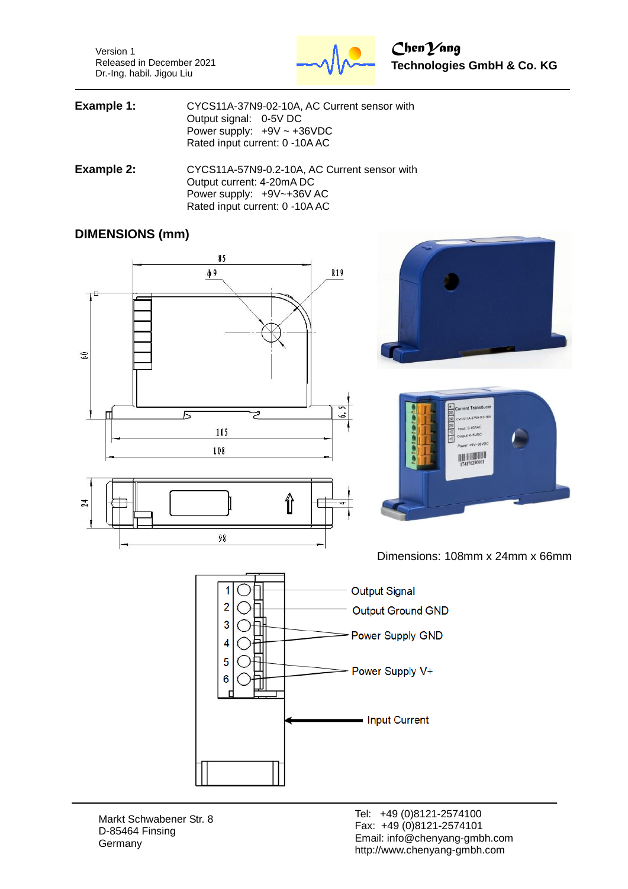Version 1 Released in December 2021 Dr.-Ing. habil. Jigou Liu



| Example 1: | CYCS11A-37N9-02-10A, AC Current sensor with |
|------------|---------------------------------------------|
|            | Output signal: 0-5V DC                      |
|            | Power supply: $+9V \sim +36VDC$             |
|            | Rated input current: 0 -10A AC              |
|            |                                             |

**Example 2:** CYCS11A-57N9-0.2-10A, AC Current sensor with Output current: 4-20mA DC Power supply: +9V~+36V AC Rated input current: 0 -10A AC

#### **DIMENSIONS (mm)**



14 8 Input 0-10AA

put: 0-10AAC<br>utput: 0-5VDC

**HELLING**